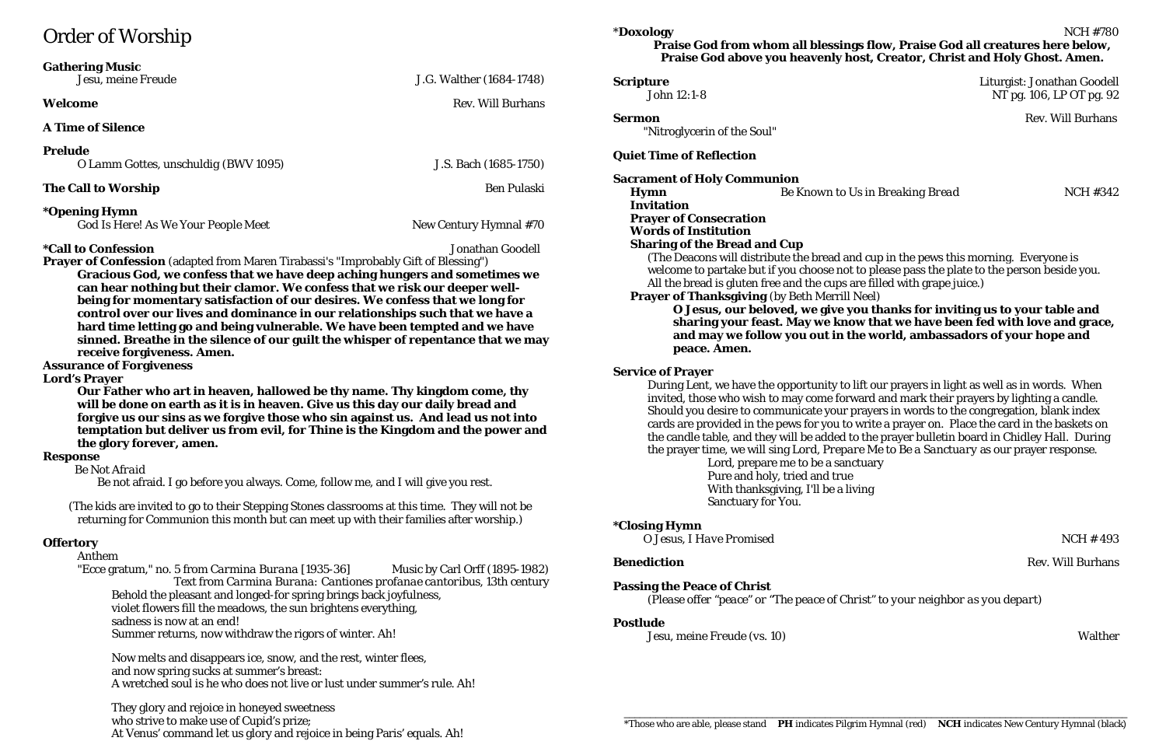# Order of Worship

#### **Gathering Music**

*Jesu, meine Freude* J.G. Walther (1684-1748)

#### **Welcome Rev.** Will Burhans

### **A Time of Silence**

#### **Prelude**

*O Lamm Gottes, unschuldig (BWV 1095)* J.S. Bach (1685-1750)

### **\*Opening Hymn**

|  |  |  | God Is Here! As We Your People Mee |  |  |
|--|--|--|------------------------------------|--|--|

**\*Call to Confession** Jonathan Goodell **Prayer of Confession** (adapted from Maren Tirabassi's "Improbably Gift of Blessing") **Gracious God, we confess that we have deep aching hungers and sometimes we can hear nothing but their clamor. We confess that we risk our deeper wellbeing for momentary satisfaction of our desires. We confess that we long for control over our lives and dominance in our relationships such that we have a hard time letting go and being vulnerable. We have been tempted and we have sinned. Breathe in the silence of our guilt the whisper of repentance that we may receive forgiveness. Amen.**

#### **Assurance of Forgiveness**

#### **Lord's Prayer**

**Our Father who art in heaven, hallowed be thy name. Thy kingdom come, thy will be done on earth as it is in heaven. Give us this day our daily bread and forgive us our sins as we forgive those who sin against us. And lead us not into temptation but deliver us from evil, for Thine is the Kingdom and the power and the glory forever, amen.**

### **Response**

**Sermon** Rev. Will Burhans "Nitroglycerin of the Soul"

#### *Be Not Afraid*

Be not afraid. I go before you always. Come, follow me, and I will give you rest.

(The kids are invited to go to their Stepping Stones classrooms at this time. They will not be returning for Communion this month but can meet up with their families after worship.)

### **Offertory**

#### Anthem

"Ecce gratum," no. 5 from *Carmina Burana* [1935-36] Music by Carl Orff (1895-1982) Text from *Carmina Burana: Cantiones profanae cantoribus*, 13th century Behold the pleasant and longed-for spring brings back joyfulness, violet flowers fill the meadows, the sun brightens everything, sadness is now at an end! Summer returns, now withdraw the rigors of winter. Ah!

Now melts and disappears ice, snow, and the rest, winter flees, and now spring sucks at summer's breast: A wretched soul is he who does not live or lust under summer's rule. Ah!

They glory and rejoice in honeyed sweetness who strive to make use of Cupid's prize; At Venus' command let us glory and rejoice in being Paris' equals. Ah!

#### \***Doxology** NCH #780 **Praise God from whom all blessings flow, Praise God all creatures here below, Praise God above you heavenly host, Creator, Christ and Holy Ghost. Amen.**

**Scripture** Liturgist: Jonathan Goodell John 12:1-8 NT pg. 106, LP OT pg. 92

#### **Quiet Time of Reflection**

#### **Sacrament of Holy Communion**

**Hymn** *Be Known to Us in Breaking Bread* NCH #342

**Invitation Prayer of Consecration**

**Words of Institution**

### **Sharing of the Bread and Cup**

(The Deacons will distribute the bread and cup in the pews this morning. Everyone is welcome to partake but if you choose not to please pass the plate to the person beside you. All the bread is gluten free and the cups are filled with grape juice.)

**Prayer of Thanksgiving** (by Beth Merrill Neel) **peace. Amen.**

**O Jesus, our beloved, we give you thanks for inviting us to your table and sharing your feast. May we know that we have been fed with love and grace, and may we follow you out in the world, ambassadors of your hope and** 

**Benediction** Rev. Will Burhans

### **Service of Prayer**

During Lent, we have the opportunity to lift our prayers in light as well as in words. When invited, those who wish to may come forward and mark their prayers by lighting a candle. Should you desire to communicate your prayers in words to the congregation, blank index cards are provided in the pews for you to write a prayer on. Place the card in the baskets on the candle table, and they will be added to the prayer bulletin board in Chidley Hall. During the prayer time, we will sing *Lord, Prepare Me to Be a Sanctuary* as our prayer response. Lord, prepare me to be a sanctuary Pure and holy, tried and true With thanksgiving, I'll be a living Sanctuary for You.

### **\*Closing Hymn**

*O Jesus, I Have Promised* 2008 2009 2012 2022 2023 2024 203

### **Passing the Peace of Christ**

*(Please offer "peace" or "The peace of Christ" to your neighbor as you depart)*

#### **Postlude**

*Jesu, meine Freude (vs. 10)* Walther

**The Call to Worship** Ben Pulaski *God Is Here! As We Your People Meet* New Century Hymnal #70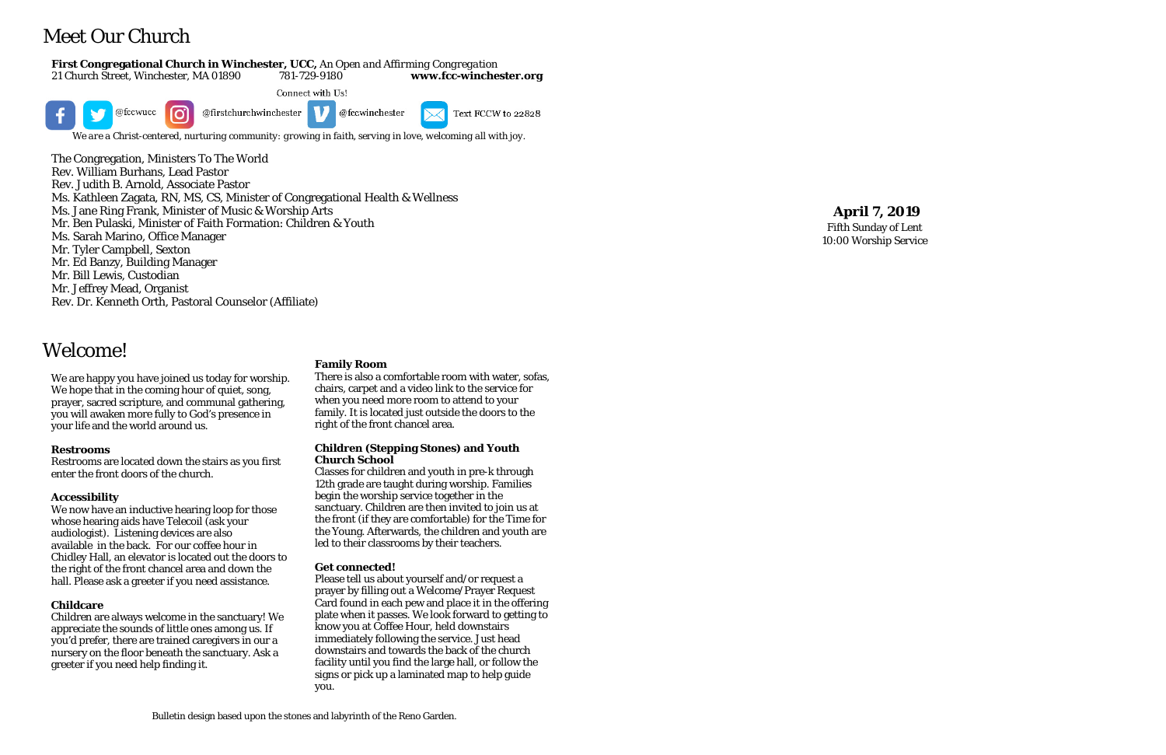# Meet Our Church

#### **First Congregational Church in Winchester, UCC,** *An Open and Affirming Congregation*

21 Church Street, Winchester, MA 01890 781-729-9180 -9180 **www.fcc -winchester.org** Connect with Us! ତି  $@$ fccwucc @firstchurchwinchester @fccwinchester Text FCCW to 22828

*We are a Christ -centered, nurturing community: growing in faith, serving in love, welcoming all with joy.*

The Congregation, Ministers To The World Rev. William Burhans, Lead Pastor Rev. Judith B. Arnold, Associate Pastor Ms. Kathleen Zagata, RN, MS, CS, Minister of Congregational Health & Wellness Ms. Jane Ring Frank, Minister of Music & Worship Arts Mr. Ben Pulaski, Minister of Faith Formation: Children & Youth Ms. Sarah Marino, Office Manager Mr. Tyler Campbell, Sexton Mr. Ed Banzy, Building Manager Mr. Bill Lewis, Custodian Mr. Jeffrey Mead, Organist Rev. Dr. Kenneth Orth, Pastoral Counselor (Affiliate)

# **April 7, 201 9**

Fifth Sunday of Lent 10:00 Worship Service

# Welcome!

We are happy you have joined us today for worship. We hope that in the coming hour of quiet, song, prayer, sacred scripture, and communal gathering, you will awaken more fully to God's presence in your life and the world around us.

#### **Restrooms**

Restrooms are located down the stairs as you first enter the front doors of the church.

#### **Accessibility**

We now have an inductive hearing loop for those whose hearing aids have Telecoil (ask your audiologist). Listening devices are also available in the back. For our coffee hour in Chidley Hall, an elevator is located out the doors to the right of the front chancel area and down the hall. Please ask a greeter if you need assistance.

#### **Childcare**

Children are always welcome in the sanctuary! We appreciate the sounds of little ones among us. If you'd prefer, there are trained caregivers in our a nursery on the floor beneath the sanctuary. Ask a greeter if you need help finding it.

#### **Family Room**

There is also a comfortable room with water, sofas, chairs, carpet and a video link to the service for when you need more room to attend to your family. It is located just outside the doors to the right of the front chancel area.

#### **Children (Stepping Stones) and Youth Church School**

Classes for children and youth in pre -k through 12th grade are taught during worship. Families begin the worship service together in the sanctuary. Children are then invited to join us at the front (if they are comfortable) for the Time for the Young. Afterwards, the children and youth are led to their classrooms by their teachers.

#### **Get connected!**

Please tell us about yourself and/or request a prayer by filling out a Welcome/Prayer Request Card found in each pew and place it in the offering plate when it passes. We look forward to getting to know you at Coffee Hour, held downstairs immediately following the service. Just head downstairs and towards the back of the church facility until you find the large hall, or follow the signs or pick up a laminated map to help guide you.

Bulletin design based upon the stones and labyrinth of the Reno Garden .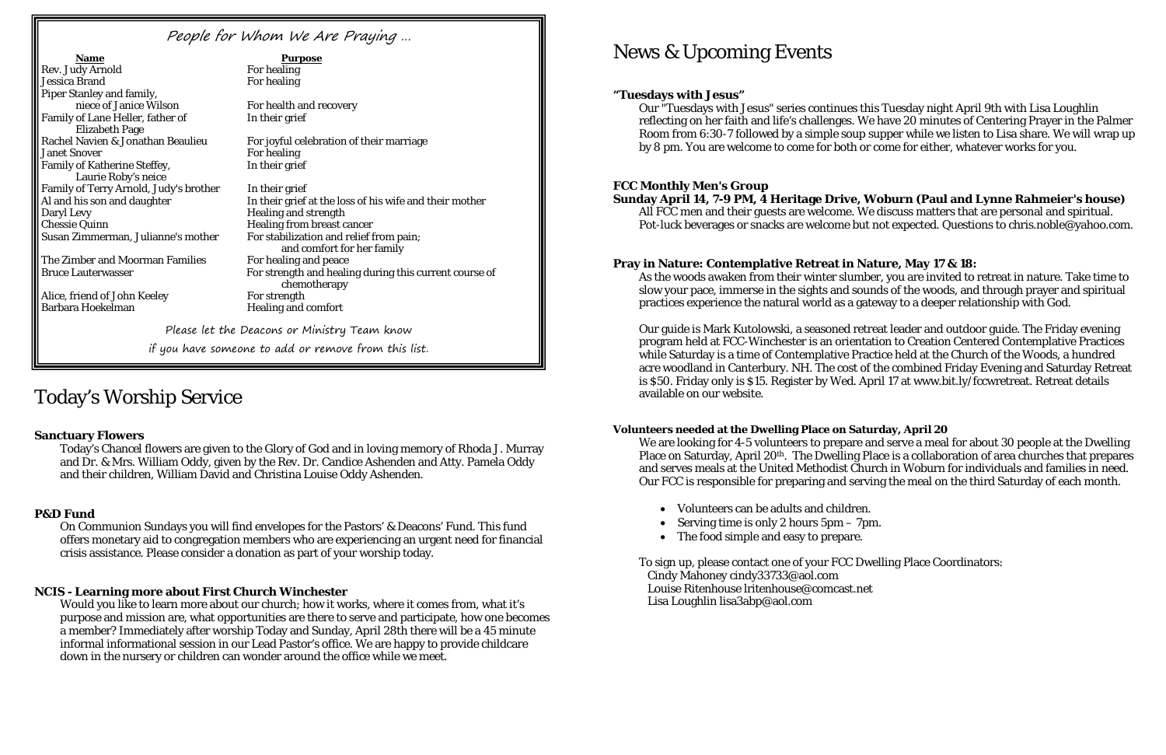# Today's Worship Service

#### **Sanctuary Flowers**

Today's Chancel flowers are given to the Glory of God and in loving memory of Rhoda J. Murray and Dr. & Mrs. William Oddy, given by the Rev. Dr. Candice Ashenden and Atty. Pamela Oddy and their children, William David and Christina Louise Oddy Ashenden.

#### **P&D Fund**

On Communion Sundays you will find envelopes for the Pastors' & Deacons' Fund. This fund offers monetary aid to congregation members who are experiencing an urgent need for financial crisis assistance. Please consider a donation as part of your worship today.

#### **NCIS - Learning more about First Church Winchester**

Would you like to learn more about our church; how it works, where it comes from, what it's purpose and mission are, what opportunities are there to serve and participate, how one becomes a member? Immediately after worship Today and Sunday, April 28th there will be a 45 minute informal informational session in our Lead Pastor's office. We are happy to provide childcare down in the nursery or children can wonder around the office while we meet.

# News & Upcoming Events

#### **"Tuesdays with Jesus"**

Our "Tuesdays with Jesus" series continues this Tuesday night April 9th with Lisa Loughlin reflecting on her faith and life's challenges. We have 20 minutes of Centering Prayer in the Palmer Room from 6:30-7 followed by a simple soup supper while we listen to Lisa share. We will wrap up by 8 pm. You are welcome to come for both or come for either, whatever works for you.

#### **FCC Monthly Men's Group**

**Sunday April 14, 7-9 PM, 4 Heritage Drive, Woburn (Paul and Lynne Rahmeier's house)** All FCC men and their guests are welcome. We discuss matters that are personal and spiritual. Pot-luck beverages or snacks are welcome but not expected. Questions to chris.noble@yahoo.com.

**Name Purpose** Rev. Judy Arnold For healing Jessica Brand For healing Piper Stanley and family, Family of Lane Heller, father of In their grief Elizabeth Page Rachel Navien & Jonathan Beaulieu For joyful celebration of their marriage Janet Snover For healing Family of Katherine Steffey, Laurie Roby's neice Family of Terry Arnold, Judy's brother In their grief<br>Al and his son and daughter In their grief Daryl Levy Healing and strength Chessie Quinn<br>Susan Zimmerman, Julianne's mother healing from breast cancer<br>For stabilization and relief f

### **Pray in Nature: Contemplative Retreat in Nature, May 17 & 18:**

As the woods awaken from their winter slumber, you are invited to retreat in nature. Take time to slow your pace, immerse in the sights and sounds of the woods, and through prayer and spiritual practices experience the natural world as a gateway to a deeper relationship with God.

In their grief at the loss of his wife and their mother For stabilization and relief from pain; and comfort for her family For strength and healing during this current course of chemotherapy

> Our guide is Mark Kutolowski, a seasoned retreat leader and outdoor guide. The Friday evening program held at FCC-Winchester is an orientation to Creation Centered Contemplative Practices while Saturday is a time of Contemplative Practice held at the Church of the Woods, a hundred acre woodland in Canterbury. NH. The cost of the combined Friday Evening and Saturday Retreat is \$50. Friday only is \$15. Register by Wed. April 17 at www.bit.ly/fccwretreat. Retreat details available on our website.

### **Volunteers needed at the Dwelling Place on Saturday, April 20**

We are looking for 4-5 volunteers to prepare and serve a meal for about 30 people at the Dwelling Place on Saturday, April 20<sup>th</sup>. The Dwelling Place is a collaboration of area churches that prepares and serves meals at the United Methodist Church in Woburn for individuals and families in need. Our FCC is responsible for preparing and serving the meal on the third Saturday of each month.

- Volunteers can be adults and children.
- Serving time is only 2 hours 5pm 7pm.
- The food simple and easy to prepare.

To sign up, please contact one of your FCC Dwelling Place Coordinators: Cindy Mahoney cindy33733@aol.com Louise Ritenhouse lritenhouse@comcast.net Lisa Loughlin lisa3abp@aol.com

# People for Whom We Are Praying …

The Zimber and Moorman Families For healing and peace

Alice, friend of John Keeley For strength Barbara Hoekelman **Healing and comfort** 

For health and recovery

Please let the Deacons or Ministry Team know

if you have someone to add or remove from this list.